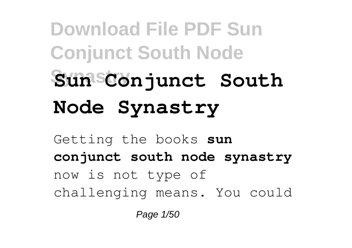## **Download File PDF Sun Conjunct South Node Synastry Sun Conjunct South Node Synastry**

Getting the books **sun conjunct south node synastry** now is not type of challenging means. You could

Page 1/50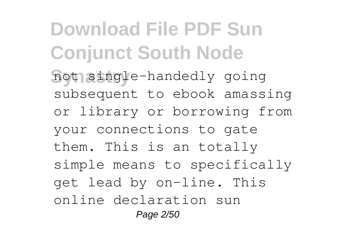**Download File PDF Sun Conjunct South Node** not single-handedly going subsequent to ebook amassing or library or borrowing from your connections to gate them. This is an totally simple means to specifically get lead by on-line. This online declaration sun Page 2/50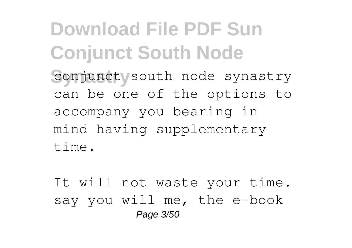**Download File PDF Sun Conjunct South Node** conjunct south node synastry can be one of the options to accompany you bearing in mind having supplementary time.

It will not waste your time. say you will me, the e-book Page 3/50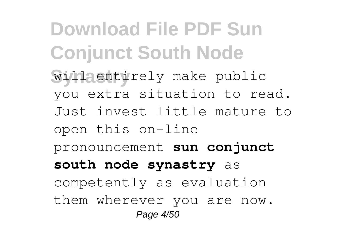**Download File PDF Sun Conjunct South Node** will entirely make public you extra situation to read. Just invest little mature to open this on-line pronouncement **sun conjunct south node synastry** as competently as evaluation them wherever you are now. Page 4/50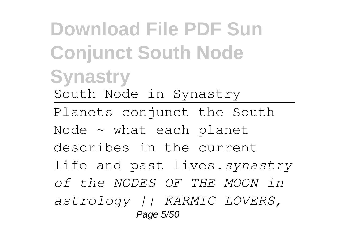**Download File PDF Sun Conjunct South Node Synastry** South Node in Synastry Planets conjunct the South Node ~ what each planet describes in the current life and past lives.*synastry of the NODES OF THE MOON in astrology || KARMIC LOVERS,* Page 5/50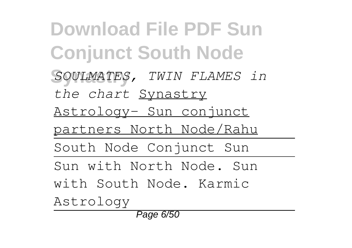**Download File PDF Sun Conjunct South Node Synastry** *SOULMATES, TWIN FLAMES in the chart* Synastry Astrology- Sun conjunct partners North Node/Rahu South Node Conjunct Sun Sun with North Node. Sun with South Node. Karmic Astrology Page 6/50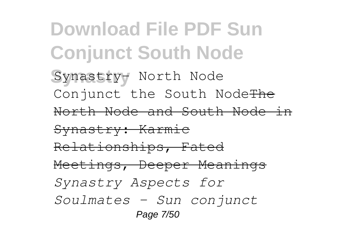**Download File PDF Sun Conjunct South Node** Synastry- North Node Conjunct the South NodeThe North Node and South Node in Synastry: Karmic Relationships, Fated Meetings, Deeper Meanings *Synastry Aspects for Soulmates - Sun conjunct* Page 7/50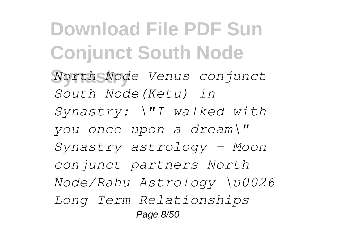**Download File PDF Sun Conjunct South Node Synastry** *North Node Venus conjunct South Node(Ketu) in Synastry: \"I walked with you once upon a dream\" Synastry astrology - Moon conjunct partners North Node/Rahu Astrology \u0026 Long Term Relationships* Page 8/50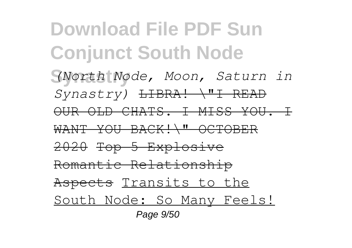**Download File PDF Sun Conjunct South Node Synastry** *(North Node, Moon, Saturn in Synastry)* LIBRA! \"I READ OUR OLD CHATS. I MISS YOU. I WANT YOU BACK!\" OCTOBER 2020 Top 5 Explosive Romantic Relationship Aspects Transits to the South Node: So Many Feels! Page 9/50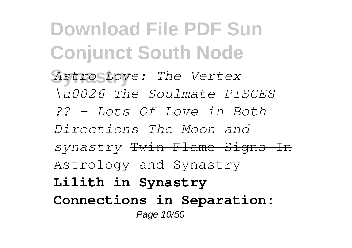**Download File PDF Sun Conjunct South Node Synastry** *Astro Love: The Vertex \u0026 The Soulmate PISCES ?? - Lots Of Love in Both Directions The Moon and synastry* Twin Flame Signs In Astrology and Synastry **Lilith in Synastry Connections in Separation:** Page 10/50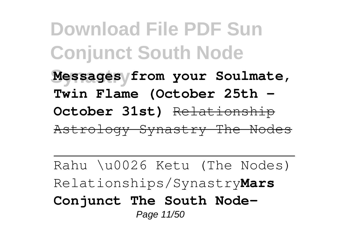**Download File PDF Sun Conjunct South Node Synastry Messages from your Soulmate, Twin Flame (October 25th - October 31st)** Relationship Astrology Synastry The Nodes

Rahu \u0026 Ketu (The Nodes) Relationships/Synastry**Mars Conjunct The South Node-**Page 11/50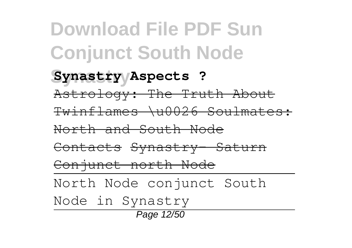**Download File PDF Sun Conjunct South Node Synastry Synastry Aspects ?** Astrology: The Truth About Twinflames \u0026 Soulmates: North and South Node Contacts Synastry- Saturn Conjunct north Node North Node conjunct South Node in Synastry Page 12/50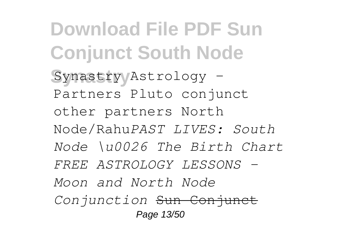**Download File PDF Sun Conjunct South Node** Synastry/Astrology -Partners Pluto conjunct other partners North Node/Rahu*PAST LIVES: South Node \u0026 The Birth Chart FREE ASTROLOGY LESSONS - Moon and North Node Conjunction* Sun Conjunct Page 13/50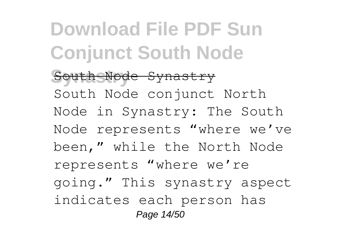**Download File PDF Sun Conjunct South Node Synastry** South Node Synastry South Node conjunct North Node in Synastry: The South Node represents "where we've been," while the North Node represents "where we're going." This synastry aspect indicates each person has Page 14/50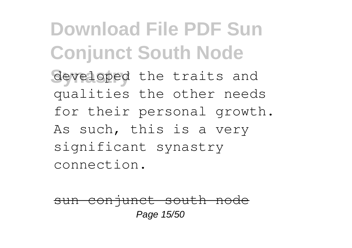**Download File PDF Sun Conjunct South Node** developed the traits and qualities the other needs for their personal growth. As such, this is a very significant synastry connection.

sun conjunct south node Page 15/50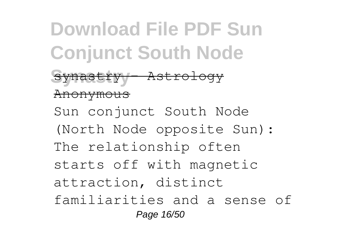**Download File PDF Sun Conjunct South Node Synastry** synastry – Astrology Anonymous Sun conjunct South Node (North Node opposite Sun): The relationship often starts off with magnetic attraction, distinct familiarities and a sense of Page 16/50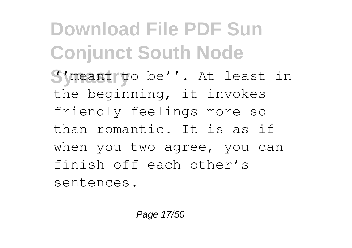**Download File PDF Sun Conjunct South Node** S'meant to be''. At least in the beginning, it invokes friendly feelings more so than romantic. It is as if when you two agree, you can finish off each other's sentences.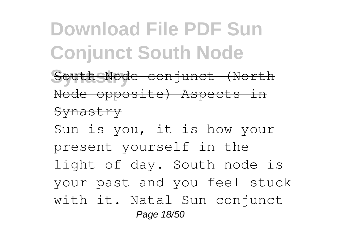## **Download File PDF Sun Conjunct South Node**

South Node conjunct (North Node opposite) Aspects in

#### **Synastry**

Sun is you, it is how your present yourself in the light of day. South node is your past and you feel stuck with it. Natal Sun conjunct Page 18/50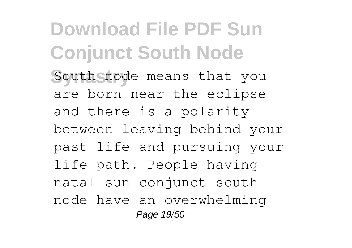**Download File PDF Sun Conjunct South Node** South node means that you are born near the eclipse and there is a polarity between leaving behind your past life and pursuing your life path. People having natal sun conjunct south node have an overwhelming Page 19/50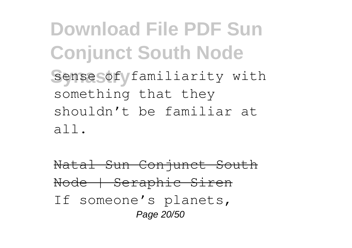**Download File PDF Sun Conjunct South Node** Sense of familiarity with something that they shouldn't be familiar at all.

Natal Sun Conjunct South Node | Seraphic Siren If someone's planets, Page 20/50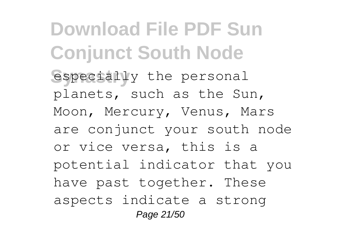**Download File PDF Sun Conjunct South Node** especially the personal planets, such as the Sun, Moon, Mercury, Venus, Mars are conjunct your south node or vice versa, this is a potential indicator that you have past together. These aspects indicate a strong Page 21/50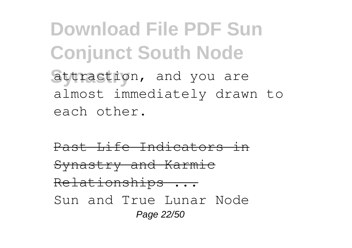**Download File PDF Sun Conjunct South Node** attraction, and you are almost immediately drawn to each other.

Past Life Indicators in Synastry and Karmic Relationships ... Sun and True Lunar Node Page 22/50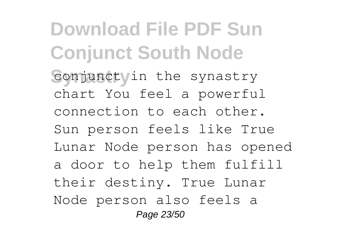**Download File PDF Sun Conjunct South Node** conjunct in the synastry chart You feel a powerful connection to each other. Sun person feels like True Lunar Node person has opened a door to help them fulfill their destiny. True Lunar Node person also feels a Page 23/50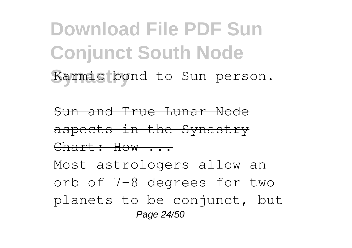**Download File PDF Sun Conjunct South Node** Karmic bond to Sun person.

Sun and True Lunar Node aspects in the Synastry Chart: How ... Most astrologers allow an orb of 7-8 degrees for two planets to be conjunct, but Page 24/50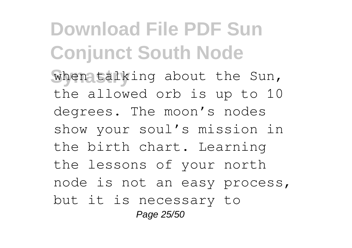**Download File PDF Sun Conjunct South Node** when talking about the Sun, the allowed orb is up to 10 degrees. The moon's nodes show your soul's mission in the birth chart. Learning the lessons of your north node is not an easy process, but it is necessary to Page 25/50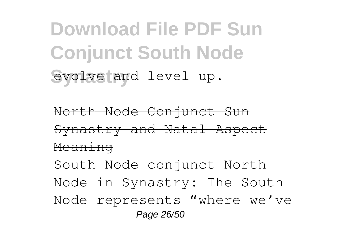**Download File PDF Sun Conjunct South Node** evolve and level up.

North Node Conjunct Sun Synastry and Natal Aspect Meaning South Node conjunct North Node in Synastry: The South Node represents "where we've Page 26/50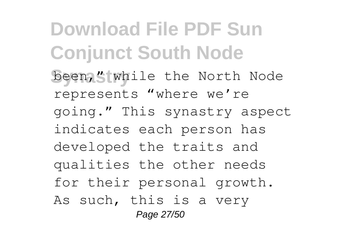**Download File PDF Sun Conjunct South Node** been," while the North Node represents "where we're going." This synastry aspect indicates each person has developed the traits and qualities the other needs for their personal growth. As such, this is a very Page 27/50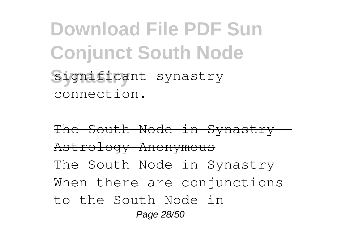**Download File PDF Sun Conjunct South Node Synastry** significant synastry connection.

The South Node in Synastry – Astrology Anonymous The South Node in Synastry When there are conjunctions to the South Node in Page 28/50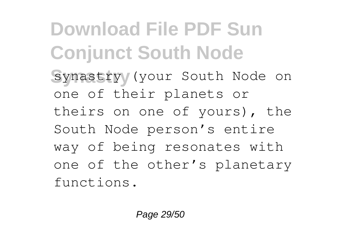**Download File PDF Sun Conjunct South Node** synastry/ (your South Node on one of their planets or theirs on one of yours), the South Node person's entire way of being resonates with one of the other's planetary functions.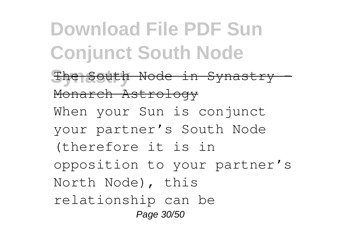**Download File PDF Sun Conjunct South Node Synastry** The South Node in Synastry - Monarch Astrology When your Sun is conjunct your partner's South Node (therefore it is in opposition to your partner's North Node), this relationship can be Page 30/50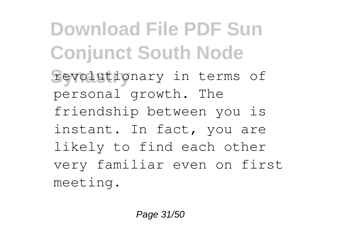**Download File PDF Sun Conjunct South Node** revolutionary in terms of personal growth. The friendship between you is instant. In fact, you are likely to find each other very familiar even on first meeting.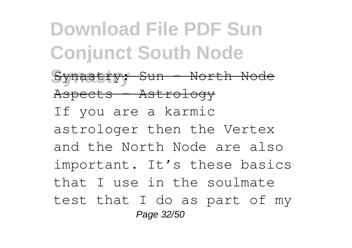**Download File PDF Sun Conjunct South Node** Synastry: Sun - North Node Aspects - Astrology If you are a karmic astrologer then the Vertex and the North Node are also important. It's these basics that I use in the soulmate test that I do as part of my Page 32/50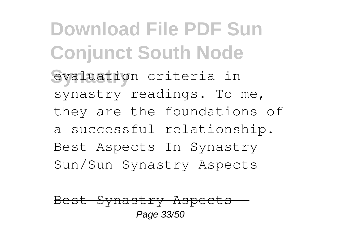**Download File PDF Sun Conjunct South Node** evaluation criteria in synastry readings. To me, they are the foundations of a successful relationship. Best Aspects In Synastry Sun/Sun Synastry Aspects

Best Synastry Aspects Page 33/50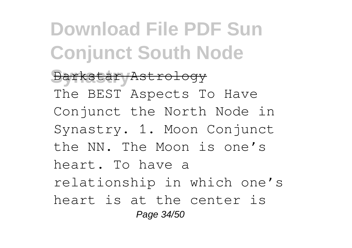**Download File PDF Sun Conjunct South Node Synastry** Darkstar Astrology The BEST Aspects To Have Conjunct the North Node in Synastry. 1. Moon Conjunct the NN. The Moon is one's heart. To have a relationship in which one's heart is at the center is Page 34/50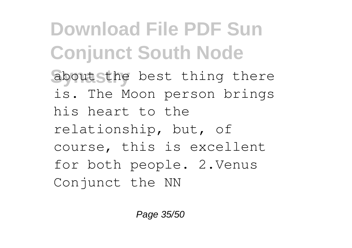**Download File PDF Sun Conjunct South Node** about sthe best thing there is. The Moon person brings his heart to the relationship, but, of course, this is excellent for both people. 2.Venus Conjunct the NN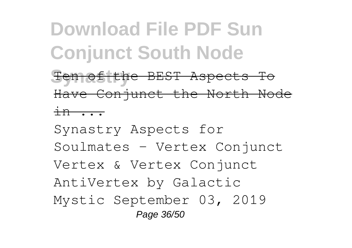## **Download File PDF Sun Conjunct South Node**

**Synastry** Ten of the BEST Aspects To Have Conjunct the North Node in ...

Synastry Aspects for Soulmates - Vertex Conjunct Vertex & Vertex Conjunct AntiVertex by Galactic Mystic September 03, 2019 Page 36/50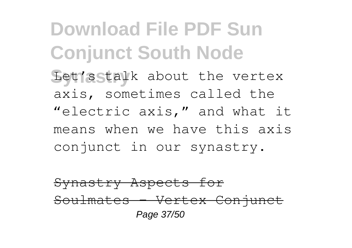**Download File PDF Sun Conjunct South Node** Let's stalk about the vertex axis, sometimes called the "electric axis," and what it means when we have this axis conjunct in our synastry.

Synastry Aspects for Soulmates - Vertex Conjunct Page 37/50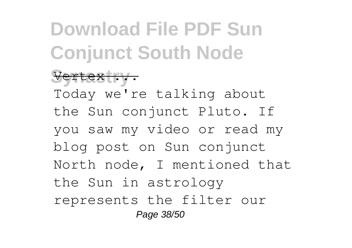## **Download File PDF Sun Conjunct South Node**

### Vertex ... Today we're talking about the Sun conjunct Pluto. If you saw my video or read my

blog post on Sun conjunct North node, I mentioned that the Sun in astrology represents the filter our

Page 38/50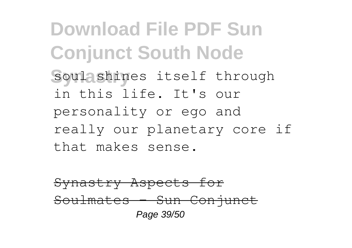**Download File PDF Sun Conjunct South Node** soul shines itself through in this life. It's our personality or ego and really our planetary core if that makes sense.

Synastry Aspects for Soulmates - Sun Conjunct Page 39/50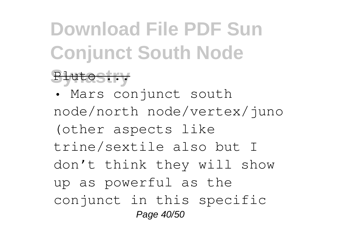# **Download File PDF Sun Conjunct South Node**

#### Pluto ...

• Mars conjunct south node/north node/vertex/juno (other aspects like trine/sextile also but I don't think they will show up as powerful as the conjunct in this specific Page 40/50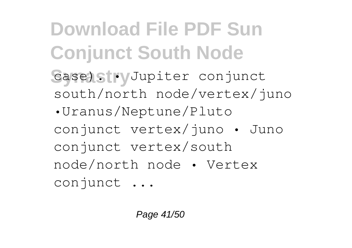**Download File PDF Sun Conjunct South Node** Case). **Jupiter** conjunct south/north node/vertex/juno •Uranus/Neptune/Pluto conjunct vertex/juno • Juno conjunct vertex/south node/north node • Vertex conjunct ...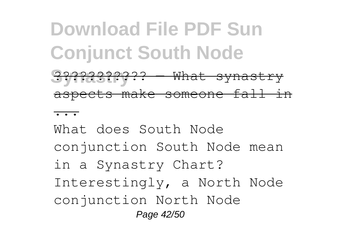### **Download File PDF Sun Conjunct South Node Synastry** ??????????? — What synastry

aspects make someone fall in

...

What does South Node conjunction South Node mean in a Synastry Chart? Interestingly, a North Node conjunction North Node Page 42/50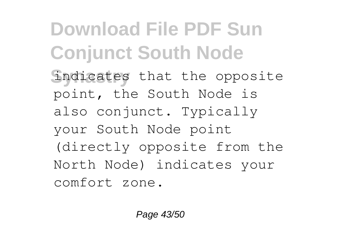**Download File PDF Sun Conjunct South Node** indicates that the opposite point, the South Node is also conjunct. Typically your South Node point (directly opposite from the North Node) indicates your comfort zone.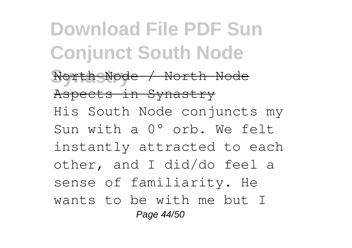**Download File PDF Sun Conjunct South Node Synastry** North Node / North Node Aspects in Synastry His South Node conjuncts my Sun with a 0° orb. We felt instantly attracted to each other, and I did/do feel a sense of familiarity. He wants to be with me but I Page 44/50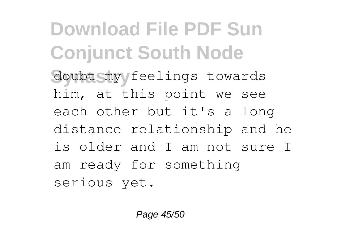**Download File PDF Sun Conjunct South Node** doubt my feelings towards him, at this point we see each other but it's a long distance relationship and he is older and I am not sure I am ready for something serious yet.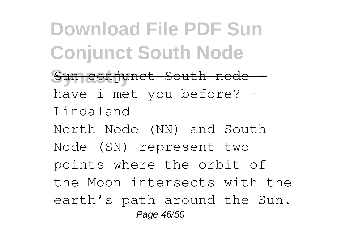## **Download File PDF Sun Conjunct South Node**

Sun conjunct South node have i met you before? -Lindaland

North Node (NN) and South Node (SN) represent two points where the orbit of the Moon intersects with the earth's path around the Sun. Page 46/50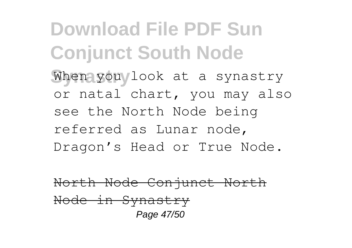**Download File PDF Sun Conjunct South Node** When you look at a synastry or natal chart, you may also see the North Node being referred as Lunar node, Dragon's Head or True Node.

North Node Conjunct North Node in Synastry Page 47/50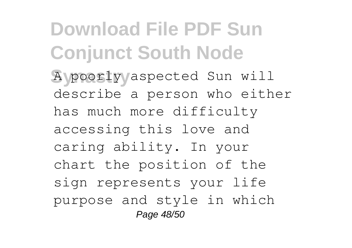**Download File PDF Sun Conjunct South Node Synastry** A poorly aspected Sun will describe a person who either has much more difficulty accessing this love and caring ability. In your chart the position of the sign represents your life purpose and style in which Page 48/50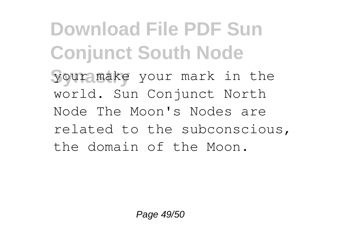**Download File PDF Sun Conjunct South Node your make** your mark in the world. Sun Conjunct North Node The Moon's Nodes are related to the subconscious, the domain of the Moon.